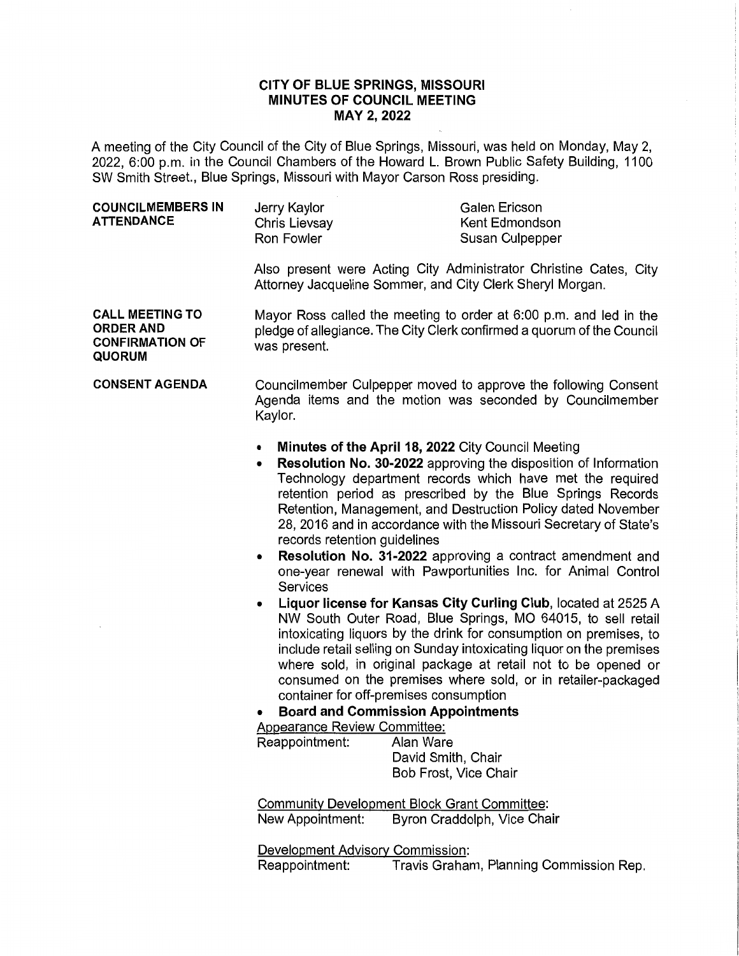## **CITY OF BLUE SPRINGS, MISSOURI MINUTES OF COUNCIL MEETING MAY 2, 2022**

A meeting of the City Council of the City of Blue Springs, Missouri, was held on Monday, May 2, 2022, 6:00 p.m. in the Council Chambers of the Howard L. Brown Public Safety Building, 1100 SW Smith Street., Blue Springs, Missouri with Mayor Carson Ross presiding.

| <b>COUNCILMEMBERS IN</b><br>ATTENDANCE | Jerry Kaylor<br>Chris Lievsay<br>Ron Fowler | Galen Ericson<br>Kent Edmondson |
|----------------------------------------|---------------------------------------------|---------------------------------|
|                                        |                                             | Susan Culpepper                 |

Also present were Acting City Administrator Christine Cates, City Attorney Jacqueline Sommer, and City Clerk Sheryl Morgan.

**CALL MEETING TO ORDER AND CONFIRMATION OF QUORUM**  Mayor Ross called the meeting to order at 6:00 p.m. and led in the pledge of allegiance. The City Clerk confirmed a quorum of the Council was present.

**CONSENT AGENDA**  Councilmember Culpepper moved to approve the following Consent Agenda items and the motion was seconded by Councilmember Kaylor.

- **Minutes of the April 18, 2022** City Council Meeting
- **Resolution No. 30-2022** approving the disposition of Information Technology department records which have met the required retention period as prescribed by the Blue Springs Records Retention, Management, and Destruction Policy dated November 28, 2016 and in accordance with the Missouri Secretary of State's records retention guidelines
- **Resolution No. 31-2022** approving a contract amendment and one-year renewal with Pawportunities Inc. for Animal Control **Services**
- **Liquor license for Kansas City Curling Club,** located at 2525 A NW South Outer Road, Blue Springs, MO 64015, to sell retail intoxicating liquors by the drink for consumption on premises, to include retail selling on Sunday intoxicating liquor on the premises where sold, in original package at retail not to be opened or consumed on the premises where sold, or in retailer-packaged container for off-premises consumption

• **Board and Commission Appointments** 

Appearance Review Committee:

Reappointment: Alan Ware David Smith, Chair Bob Frost, Vice Chair

Community Development Block Grant Committee: New Appointment: Byron Craddolph, Vice Chair

Development Advisory Commission: Reappointment: Travis Graham, Planning Commission Rep.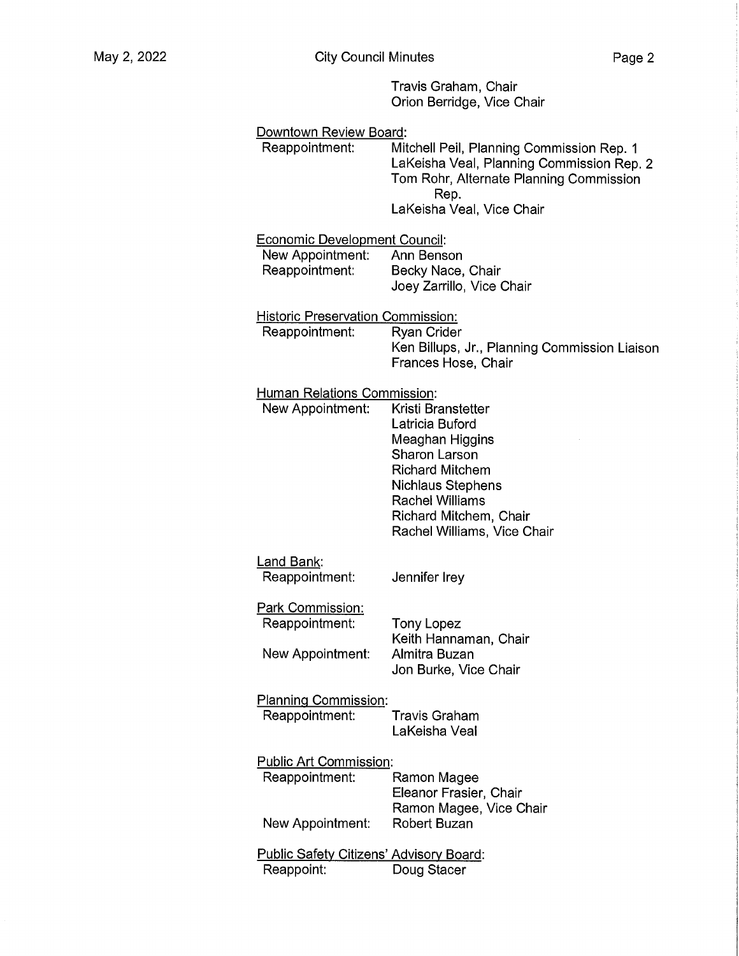Travis Graham, Chair Orion Berridge, Vice Chair

| Downtown Review Board:<br>Reappointment:       | Mitchell Peil, Planning Commission Rep. 1<br>LaKeisha Veal, Planning Commission Rep. 2<br>Tom Rohr, Alternate Planning Commission<br>Rep. |
|------------------------------------------------|-------------------------------------------------------------------------------------------------------------------------------------------|
|                                                | LaKeisha Veal, Vice Chair                                                                                                                 |
| <b>Economic Development Council:</b>           |                                                                                                                                           |
| New Appointment:                               | Ann Benson                                                                                                                                |
| Reappointment:                                 | Becky Nace, Chair<br>Joey Zarrillo, Vice Chair                                                                                            |
| <b>Historic Preservation Commission:</b>       |                                                                                                                                           |
| Reappointment:                                 | <b>Ryan Crider</b>                                                                                                                        |
|                                                | Ken Billups, Jr., Planning Commission Liaison<br>Frances Hose, Chair                                                                      |
| <b>Human Relations Commission:</b>             |                                                                                                                                           |
| New Appointment:                               | Kristi Branstetter                                                                                                                        |
|                                                | Latricia Buford<br>Meaghan Higgins                                                                                                        |
|                                                | <b>Sharon Larson</b>                                                                                                                      |
|                                                | <b>Richard Mitchem</b>                                                                                                                    |
|                                                | <b>Nichlaus Stephens</b><br>Rachel Williams                                                                                               |
|                                                | Richard Mitchem, Chair                                                                                                                    |
|                                                | Rachel Williams, Vice Chair                                                                                                               |
| <u>Land Bank</u> :                             |                                                                                                                                           |
| Reappointment:                                 | Jennifer Irey                                                                                                                             |
| Park Commission:                               |                                                                                                                                           |
| Reappointment:                                 | Tony Lopez<br>Keith Hannaman, Chair                                                                                                       |
| New Appointment:                               | Almitra Buzan                                                                                                                             |
|                                                | Jon Burke, Vice Chair                                                                                                                     |
| <b>Planning Commission:</b>                    |                                                                                                                                           |
| Reappointment:                                 | Travis Graham<br>LaKeisha Veal                                                                                                            |
| <b>Public Art Commission:</b>                  |                                                                                                                                           |
| Reappointment:                                 | Ramon Magee                                                                                                                               |
|                                                | Eleanor Frasier, Chair<br>Ramon Magee, Vice Chair                                                                                         |
| New Appointment:                               | <b>Robert Buzan</b>                                                                                                                       |
| <b>Public Safety Citizens' Advisory Board:</b> |                                                                                                                                           |
| Reappoint:                                     | Doug Stacer                                                                                                                               |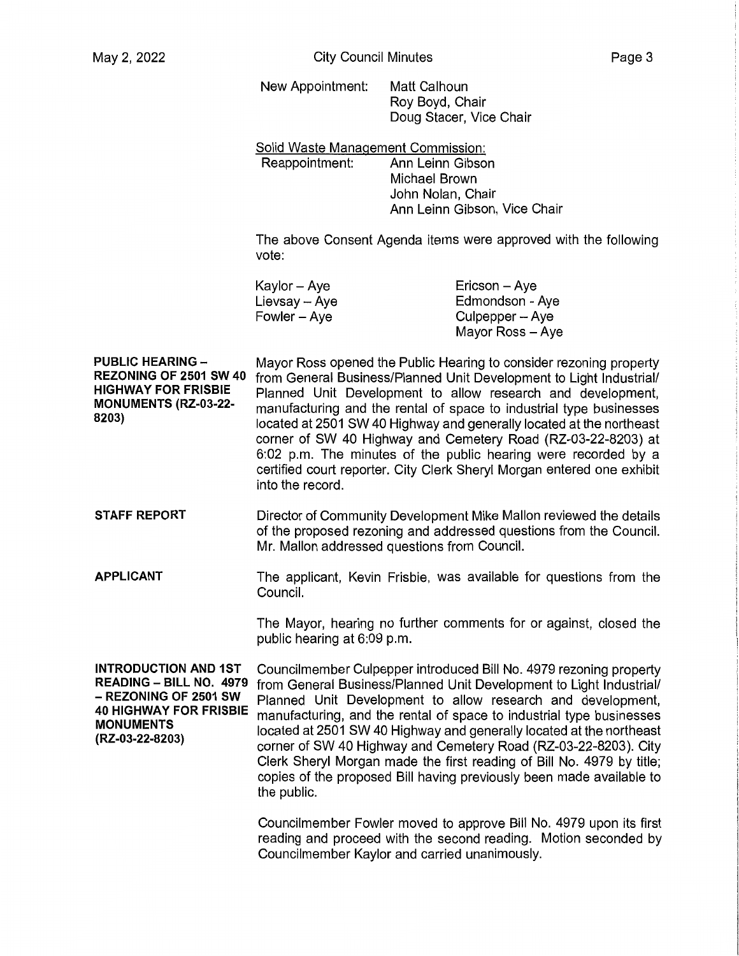New Appointment: Matt Calhoun Roy Boyd, Chair Doug Stacer, Vice Chair

Solid Waste Management Commission: Reappointment: Ann Leinn Gibson Michael Brown John Nolan, Chair Ann Leinn Gibson, Vice Chair

The above Consent Agenda items were approved with the following vote:

| Kaylor – Aye    | $Ericson - Aye$  |
|-----------------|------------------|
| Lievsay $-$ Aye | Edmondson - Aye  |
| $Fowler - Aye$  | Culpepper - Aye  |
|                 | Mayor Ross - Ave |

**PUBLIC HEARING** - **REZONING OF 2501 SW 40 HIGHWAY FOR FRISBIE MONUMENTS (RZ-03-22- 8203)**  Mayor Ross opened the Public Hearing to consider rezoning property from General Business/Planned Unit Development to Light Industrial/ Planned Unit Development to allow research and development, manufacturing and the rental of space to industrial type businesses located at 2501 SW 40 Highway and generally located at the northeast corner of SW 40 Highway and Cemetery Road (RZ-03-22-8203) at 6:02 p.m. The minutes of the public hearing were recorded by a certified court reporter. City Clerk Sheryl Morgan entered one exhibit into the record.

**STAFF REPORT**  Director of Community Development Mike Mallon reviewed the details of the proposed rezoning and addressed questions from the Council. Mr. Mallon addressed questions from Council.

**APPLICANT**  The applicant, Kevin Frisbie, was available for questions from the Council.

> The Mayor, hearing no further comments for or against, closed the public hearing at 6:09 p.m.

**INTRODUCTION AND 1ST READING - BILL NO. 4979**  - **REZONING OF 2501 SW 40 HIGHWAY FOR FRISBIE MONUMENTS (RZ-03-22-8203)** 

Councilmember Culpepper introduced Bill No. 4979 rezoning property from General Business/Planned Unit Development to Light Industrial/ Planned Unit Development to allow research and development. manufacturing, and the rental of space to industrial type businesses located at 2501 SW 40 Highway and generally located at the northeast corner of SW 40 Highway and Cemetery Road (RZ-03-22-8203). City Clerk Sheryl Morgan made the first reading of Bill No. 4979 by title; copies of the proposed Bill having previously been made available to the public.

Councilmember Fowler moved to approve Bill No. 4979 upon its first reading and proceed with the second reading. Motion seconded by Councilmember Kaylor and carried unanimously.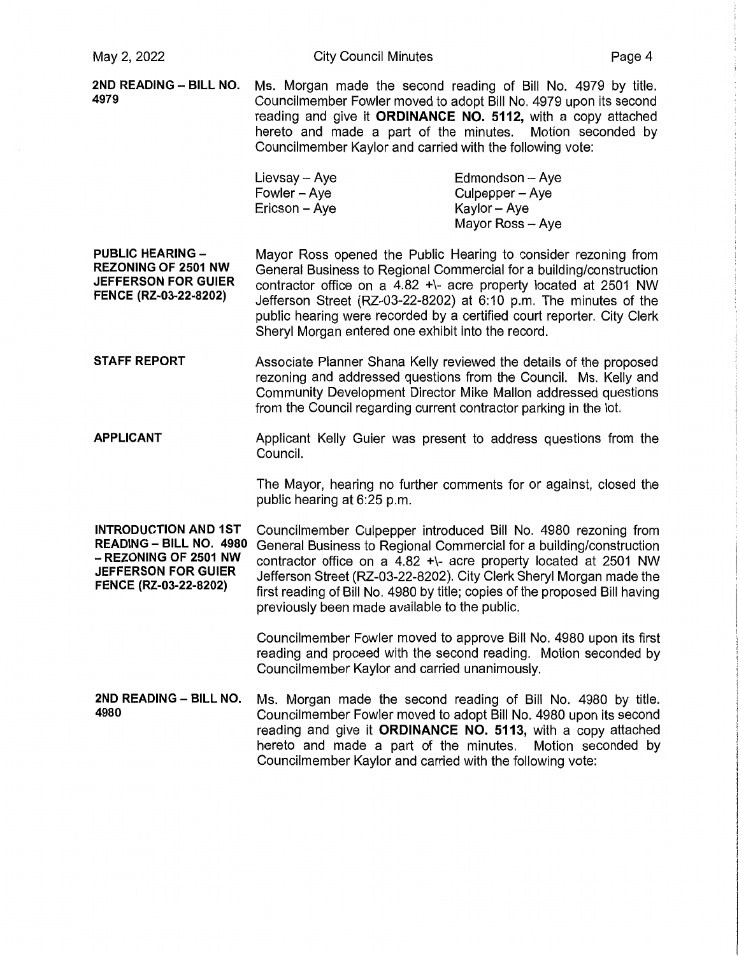| May 2, 2022                                                                                                                            | <b>City Council Minutes</b>                                                                                                                                                                                                                                                                                                                                                                                      |                                                                        | Page 4 |
|----------------------------------------------------------------------------------------------------------------------------------------|------------------------------------------------------------------------------------------------------------------------------------------------------------------------------------------------------------------------------------------------------------------------------------------------------------------------------------------------------------------------------------------------------------------|------------------------------------------------------------------------|--------|
| 2ND READING - BILL NO.<br>4979                                                                                                         | Ms. Morgan made the second reading of Bill No. 4979 by title.<br>Councilmember Fowler moved to adopt Bill No. 4979 upon its second<br>reading and give it ORDINANCE NO. 5112, with a copy attached<br>hereto and made a part of the minutes. Motion seconded by<br>Councilmember Kaylor and carried with the following vote:                                                                                     |                                                                        |        |
|                                                                                                                                        | Lievsay - Aye<br>Fowler - Aye<br>Ericson - Aye                                                                                                                                                                                                                                                                                                                                                                   | Edmondson - Aye<br>Culpepper - Aye<br>Kaylor - Aye<br>Mayor Ross - Aye |        |
| <b>PUBLIC HEARING -</b><br><b>REZONING OF 2501 NW</b><br><b>JEFFERSON FOR GUIER</b><br>FENCE (RZ-03-22-8202)                           | Mayor Ross opened the Public Hearing to consider rezoning from<br>General Business to Regional Commercial for a building/construction<br>contractor office on a 4.82 +\- acre property located at 2501 NW<br>Jefferson Street (RZ-03-22-8202) at 6:10 p.m. The minutes of the<br>public hearing were recorded by a certified court reporter. City Clerk<br>Sheryl Morgan entered one exhibit into the record.    |                                                                        |        |
| <b>STAFF REPORT</b>                                                                                                                    | Associate Planner Shana Kelly reviewed the details of the proposed<br>rezoning and addressed questions from the Council. Ms. Kelly and<br>Community Development Director Mike Mallon addressed questions<br>from the Council regarding current contractor parking in the lot.                                                                                                                                    |                                                                        |        |
| <b>APPLICANT</b>                                                                                                                       | Applicant Kelly Guier was present to address questions from the<br>Council.                                                                                                                                                                                                                                                                                                                                      |                                                                        |        |
|                                                                                                                                        | The Mayor, hearing no further comments for or against, closed the<br>public hearing at 6:25 p.m.                                                                                                                                                                                                                                                                                                                 |                                                                        |        |
| <b>INTRODUCTION AND 1ST</b><br>READING - BILL NO. 4980<br>- REZONING OF 2501 NW<br><b>JEFFERSON FOR GUIER</b><br>FENCE (RZ-03-22-8202) | Councilmember Culpepper introduced Bill No. 4980 rezoning from<br>General Business to Regional Commercial for a building/construction<br>contractor office on a 4.82 +\- acre property located at 2501 NW<br>Jefferson Street (RZ-03-22-8202). City Clerk Sheryl Morgan made the<br>first reading of Bill No. 4980 by title; copies of the proposed Bill having<br>previously been made available to the public. |                                                                        |        |
|                                                                                                                                        | Councilmember Fowler moved to approve Bill No. 4980 upon its first<br>reading and proceed with the second reading. Motion seconded by<br>Councilmember Kaylor and carried unanimously.                                                                                                                                                                                                                           |                                                                        |        |
| 2ND READING - BILL NO.<br>4980                                                                                                         | Ms. Morgan made the second reading of Bill No. 4980 by title.<br>Councilmember Fowler moved to adopt Bill No. 4980 upon its second<br>reading and give it ORDINANCE NO. 5113, with a copy attached<br>hereto and made a part of the minutes. Motion seconded by<br>Councilmember Kaylor and carried with the following vote:                                                                                     |                                                                        |        |